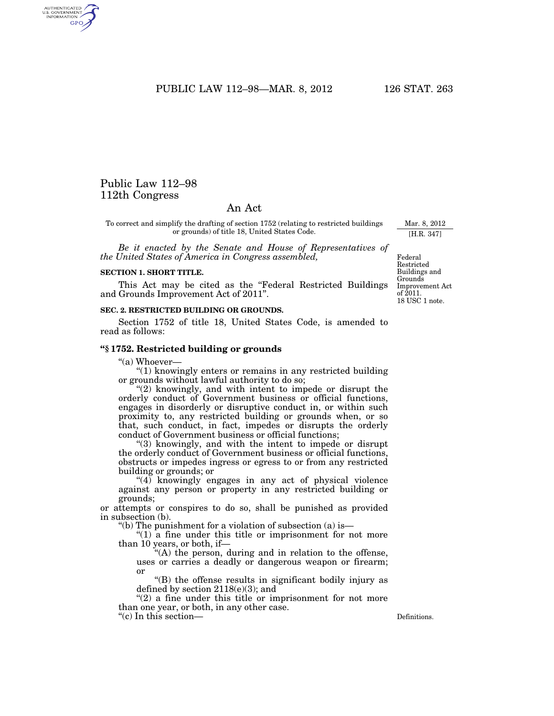PUBLIC LAW 112-98-MAR. 8, 2012 126 STAT. 263

# Public Law 112–98 112th Congress

AUTHENTICATED<br>U.S. GOVERNMENT<br>INFORMATION **GPO** 

## An Act

To correct and simplify the drafting of section 1752 (relating to restricted buildings or grounds) of title 18, United States Code.

*Be it enacted by the Senate and House of Representatives of the United States of America in Congress assembled,* 

### **SECTION 1. SHORT TITLE.**

This Act may be cited as the "Federal Restricted Buildings and Grounds Improvement Act of 2011''.

#### **SEC. 2. RESTRICTED BUILDING OR GROUNDS.**

Section 1752 of title 18, United States Code, is amended to read as follows:

### **''§ 1752. Restricted building or grounds**

"(a) Whoever-

''(1) knowingly enters or remains in any restricted building or grounds without lawful authority to do so;

"(2) knowingly, and with intent to impede or disrupt the orderly conduct of Government business or official functions, engages in disorderly or disruptive conduct in, or within such proximity to, any restricted building or grounds when, or so that, such conduct, in fact, impedes or disrupts the orderly conduct of Government business or official functions;

''(3) knowingly, and with the intent to impede or disrupt the orderly conduct of Government business or official functions, obstructs or impedes ingress or egress to or from any restricted building or grounds; or

"(4) knowingly engages in any act of physical violence against any person or property in any restricted building or grounds;

or attempts or conspires to do so, shall be punished as provided in subsection (b).

"(b) The punishment for a violation of subsection  $(a)$  is—

" $(1)$  a fine under this title or imprisonment for not more than 10 years, or both, if—

''(A) the person, during and in relation to the offense, uses or carries a deadly or dangerous weapon or firearm; or

''(B) the offense results in significant bodily injury as defined by section  $2118(e)(3)$ ; and

 $"(2)$  a fine under this title or imprisonment for not more than one year, or both, in any other case.

''(c) In this section— Definitions.

Federal Restricted Buildings and **Grounds** Improvement Act of 2011. 18 USC 1 note.

Mar. 8, 2012 [H.R. 347]